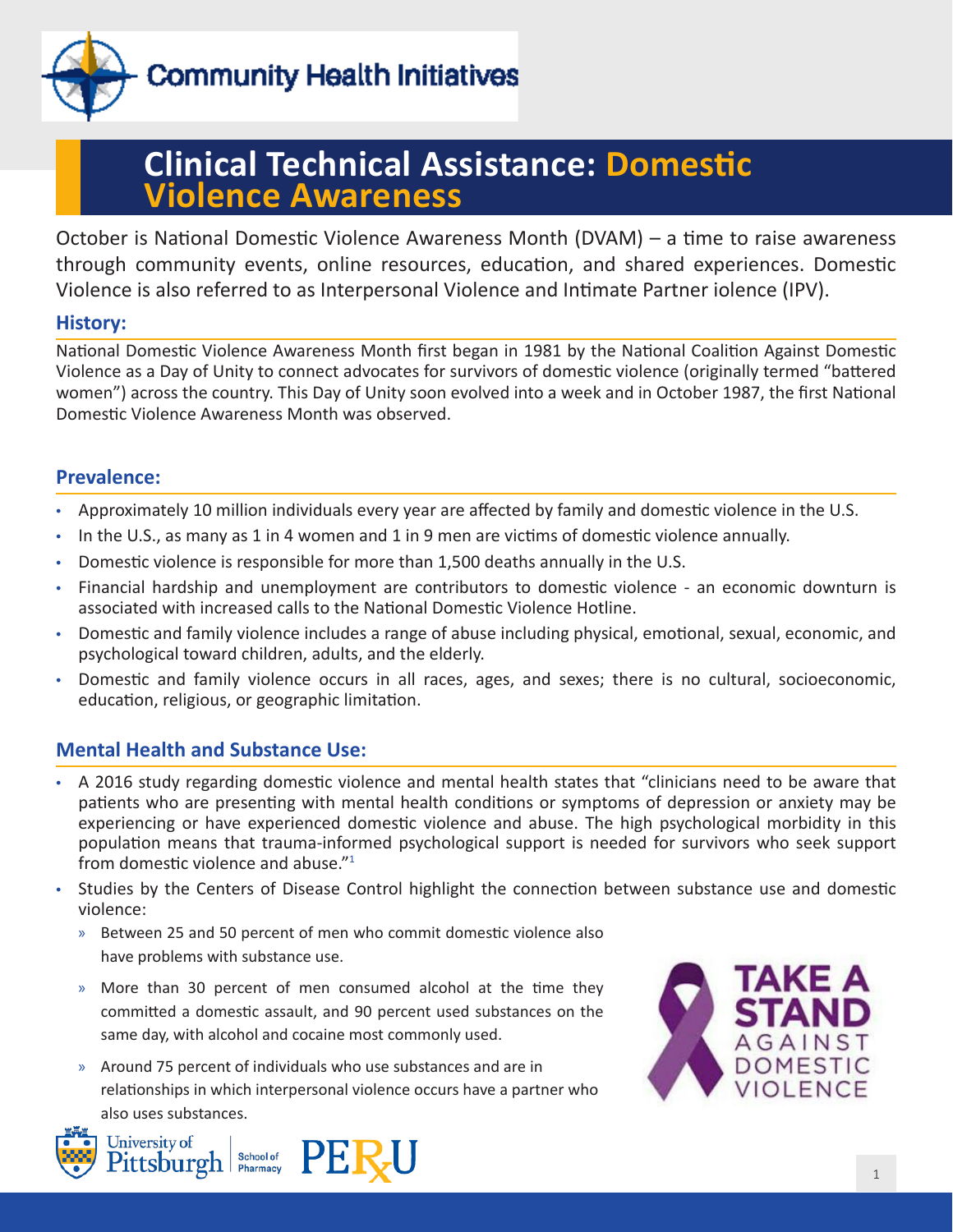

# **Clinical Technical Assistance: Domestic Violence Awareness**

October is National Domestic Violence Awareness Month (DVAM) – a time to raise awareness through community events, online resources, education, and shared experiences. Domestic Violence is also referred to as Interpersonal Violence and Intimate Partner iolence (IPV).

## **History:**

National Domestic Violence Awareness Month first began in 1981 by the National Coalition Against Domestic Violence as a Day of Unity to connect advocates for survivors of domestic violence (originally termed "battered women") across the country. This Day of Unity soon evolved into a week and in October 1987, the first National Domestic Violence Awareness Month was observed.

## **Prevalence:**

- Approximately 10 million individuals every year are affected by family and domestic violence in the U.S.
- In the U.S., as many as 1 in 4 women and 1 in 9 men are victims of domestic violence annually.
- Domestic violence is responsible for more than 1,500 deaths annually in the U.S.
- Financial hardship and unemployment are contributors to domestic violence an economic downturn is associated with increased calls to the National Domestic Violence Hotline.
- Domestic and family violence includes a range of abuse including physical, emotional, sexual, economic, and psychological toward children, adults, and the elderly.
- Domestic and family violence occurs in all races, ages, and sexes; there is no cultural, socioeconomic, education, religious, or geographic limitation.

## **Mental Health and Substance Use:**

- A 2016 study regarding domestic violence and mental health states that "clinicians need to be aware that patients who are presenting with mental health conditions or symptoms of depression or anxiety may be experiencing or have experienced domestic violence and abuse. The high psychological morbidity in this population means that trauma-informed psychological support is needed for survivors who seek support from domestic violence and abuse."1
- Studies by the Centers of Disease Control highlight the connection between substance use and domestic violence:
	- » Between 25 and 50 percent of men who commit domestic violence also have problems with substance use.
	- » More than 30 percent of men consumed alcohol at the time they committed a domestic assault, and 90 percent used substances on the same day, with alcohol and cocaine most commonly used.
	- » Around 75 percent of individuals who use substances and are in relationships in which interpersonal violence occurs have a partner who also uses substances.